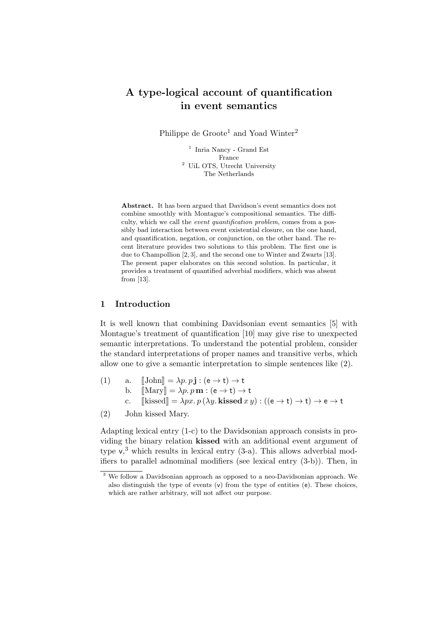# A type-logical account of quantification in event semantics

Philippe de Groote<sup>1</sup> and Yoad Winter<sup>2</sup>

<sup>1</sup> Inria Nancy - Grand Est France <sup>2</sup> UiL OTS, Utrecht University The Netherlands

Abstract. It has been argued that Davidson's event semantics does not combine smoothly with Montague's compositional semantics. The difficulty, which we call the event quantification problem, comes from a possibly bad interaction between event existential closure, on the one hand, and quantification, negation, or conjunction, on the other hand. The recent literature provides two solutions to this problem. The first one is due to Champollion [2, 3], and the second one to Winter and Zwarts [13]. The present paper elaborates on this second solution. In particular, it provides a treatment of quantified adverbial modifiers, which was absent from [13].

#### 1 Introduction

It is well known that combining Davidsonian event semantics [5] with Montague's treatment of quantification [10] may give rise to unexpected semantic interpretations. To understand the potential problem, consider the standard interpretations of proper names and transitive verbs, which allow one to give a semantic interpretation to simple sentences like (2).

- (1) a.  $[\text{John}] = \lambda p. p \mathbf{j} : (\mathbf{e} \to \mathbf{t}) \to \mathbf{t}$ <br>b.  $[\text{Marv}] = \lambda p. p \mathbf{m} : (\mathbf{e} \to \mathbf{t}) \to$ b.  $[\text{Mary}] = \lambda p. p \mathbf{m} : (\mathbf{e} \to \mathbf{t}) \to \mathbf{t}$ <br>c.  $[\text{kissed}] = \lambda px. p (\lambda y. \text{kissed } x)$  $\llbracket$ kissed $\rrbracket = \lambda px. p (\lambda y.$  kissed  $xy$ ) :  $((e \rightarrow t) \rightarrow t) \rightarrow e \rightarrow t$
- (2) John kissed Mary.

Adapting lexical entry (1-c) to the Davidsonian approach consists in providing the binary relation kissed with an additional event argument of type  $v<sub>1</sub><sup>3</sup>$  which results in lexical entry (3-a). This allows adverbial modifiers to parallel adnominal modifiers (see lexical entry (3-b)). Then, in

 $\overline{3}$  We follow a Davidsonian approach as opposed to a neo-Davidsonian approach. We also distinguish the type of events  $(v)$  from the type of entities  $(e)$ . These choices, which are rather arbitrary, will not affect our purpose.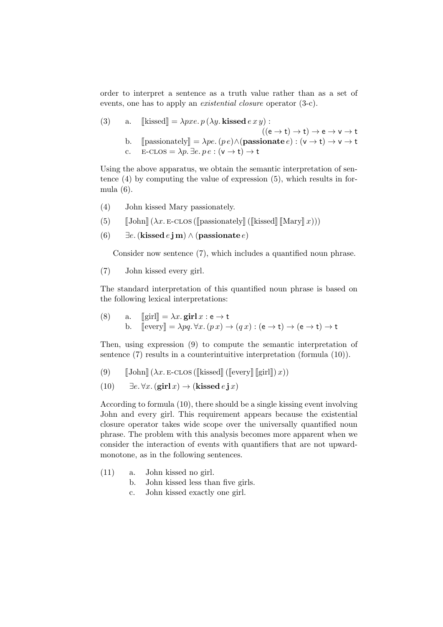order to interpret a sentence as a truth value rather than as a set of events, one has to apply an existential closure operator (3-c).

(3) a. [kissed] = 
$$
\lambda pxe. p(\lambda y. \text{kissed } e x y)
$$
 :  
\n
$$
((e \rightarrow t) \rightarrow t) \rightarrow e \rightarrow v \rightarrow t
$$
\nb. [passionately] =  $\lambda pe. (pe) \land (\text{passionate } e) : (v \rightarrow t) \rightarrow v \rightarrow t$   
\nc. E-CLOS =  $\lambda p. \exists e. pe : (v \rightarrow t) \rightarrow t$ 

Using the above apparatus, we obtain the semantic interpretation of sentence (4) by computing the value of expression (5), which results in formula (6).

- (4) John kissed Mary passionately.
- (5)  $\llbracket$  John $\llbracket (\lambda x. \text{E-CLOS} (\llbracket \text{passionately} \rrbracket (\llbracket \text{kissed} \rrbracket \llbracket \text{Mary} \rrbracket x)))$

(6) 
$$
\exists e.
$$
 (kissed  $e$ **jm**)  $\land$  (passionate  $e$ )

Consider now sentence (7), which includes a quantified noun phrase.

(7) John kissed every girl.

The standard interpretation of this quantified noun phrase is based on the following lexical interpretations:

(8) a. 
$$
[\text{girl}] = \lambda x. \text{girl } x : e \to t
$$
  
b.  $[\text{every}] = \lambda pq. \forall x. (px) \to (qx) : (e \to t) \to (e \to t) \to t$ 

Then, using expression (9) to compute the semantic interpretation of sentence (7) results in a counterintuitive interpretation (formula (10)).

- (9)  $\left[\text{John}\right](\lambda x. \text{E-CLOS}(\text{[kissed}]\left(\text{[every} \right) \text{[girl]}) x))$
- (10)  $\exists e. \forall x. (\text{girl } x) \rightarrow (\text{kissed } e \textbf{j } x)$

According to formula (10), there should be a single kissing event involving John and every girl. This requirement appears because the existential closure operator takes wide scope over the universally quantified noun phrase. The problem with this analysis becomes more apparent when we consider the interaction of events with quantifiers that are not upwardmonotone, as in the following sentences.

- (11) a. John kissed no girl.
	- b. John kissed less than five girls.
	- c. John kissed exactly one girl.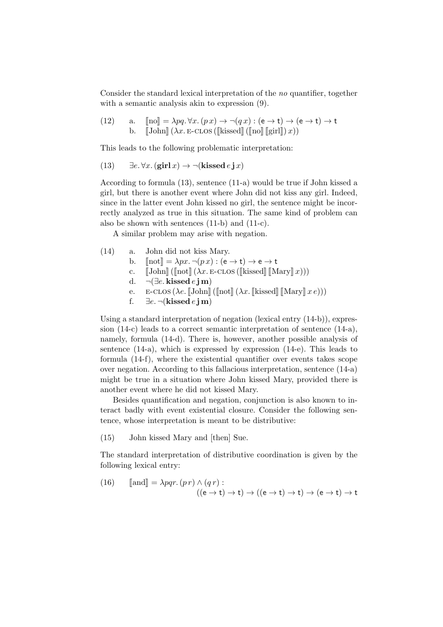Consider the standard lexical interpretation of the no quantifier, together with a semantic analysis akin to expression (9).

(12) a. 
$$
[\text{no}] = \lambda pq \cdot \forall x \cdot (px) \rightarrow \neg(qx) : (e \rightarrow t) \rightarrow (e \rightarrow t) \rightarrow t
$$
  
b.  $[\text{John}] (\lambda x. \text{E-CLOS} ([kissed] ([no] [girl]) x))$ 

This leads to the following problematic interpretation:

(13) 
$$
\exists e. \forall x. (\text{girl } x) \rightarrow \neg(\text{kissed } e \textbf{j } x)
$$

According to formula (13), sentence (11-a) would be true if John kissed a girl, but there is another event where John did not kiss any girl. Indeed, since in the latter event John kissed no girl, the sentence might be incorrectly analyzed as true in this situation. The same kind of problem can also be shown with sentences (11-b) and (11-c).

A similar problem may arise with negation.

- (14) a. John did not kiss Mary. b.  $[\text{not}] = \lambda px \cdot \neg (px) : (\mathsf{e} \to \mathsf{t}) \to \mathsf{e} \to \mathsf{t}$ <br>c.  $[\text{John}] (\text{not}] (\lambda x. \text{E-CLOS} (\text{[kissed]} \text{[M])})$ c.  $[\![John]\!]([\![not]\!](\lambda x. \mathsf{E}\text{-}\mathrm{C}\mathrm{L}\mathrm{O}\mathrm{S}([\![\mathrm{k}\mathrm{l}\mathrm{s}\mathrm{sed}]\!](\![\mathrm{Mary}]\!](x)))$ <br>d.  $\neg(\exists e. \mathbf{k}\mathrm{i}\mathrm{s}\mathrm{s}\mathrm{ed} e \mathrm{i}\mathrm{m})$  $\neg \left( \exists e. \mathbf{k} \mathbf{is} \mathbf{sed} e \mathbf{jm} \right)$ e. E-CLOS (λe. [John] ([not] (λx. [kissed] [Mary]  $x e$ )))<br>f.  $\exists e. \neg$ (kissed  $e$  i m)
	- ∃e. ¬(kissed e j m)

Using a standard interpretation of negation (lexical entry (14-b)), expression (14-c) leads to a correct semantic interpretation of sentence (14-a), namely, formula (14-d). There is, however, another possible analysis of sentence (14-a), which is expressed by expression (14-e). This leads to formula (14-f), where the existential quantifier over events takes scope over negation. According to this fallacious interpretation, sentence (14-a) might be true in a situation where John kissed Mary, provided there is another event where he did not kissed Mary.

Besides quantification and negation, conjunction is also known to interact badly with event existential closure. Consider the following sentence, whose interpretation is meant to be distributive:

(15) John kissed Mary and [then] Sue.

The standard interpretation of distributive coordination is given by the following lexical entry:

(16) 
$$
[\text{and}] = \lambda pqr. (pr) \land (qr) : ((e \rightarrow t) \rightarrow t) \rightarrow ((e \rightarrow t) \rightarrow t) \rightarrow (e \rightarrow t) \rightarrow t
$$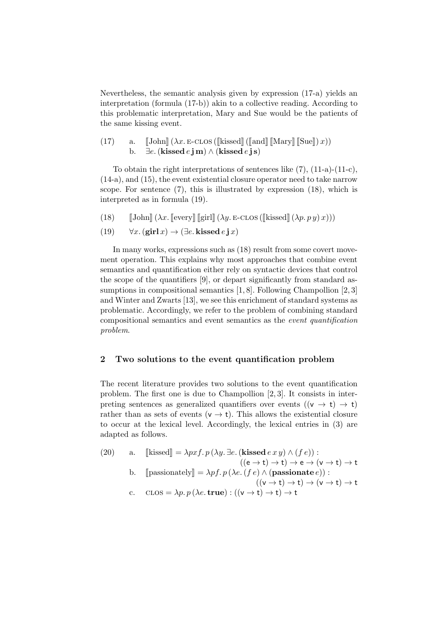Nevertheless, the semantic analysis given by expression (17-a) yields an interpretation (formula (17-b)) akin to a collective reading. According to this problematic interpretation, Mary and Sue would be the patients of the same kissing event.

(17) a.  $\llbracket \text{John} \rrbracket (\lambda x. \text{E-CLOS} (\llbracket \text{kissed} \rrbracket (\llbracket \text{and} \rrbracket \llbracket \text{Mary} \rrbracket (\llbracket \text{Sue} \rrbracket) x))$ <br>b.  $\exists e. (\text{kissed } e \textbf{i} \textbf{m}) \wedge (\text{kissed } e \textbf{i} \textbf{s})$ ∃e. (kissed e j m) ∧ (kissed e j s)

To obtain the right interpretations of sentences like (7), (11-a)-(11-c), (14-a), and (15), the event existential closure operator need to take narrow scope. For sentence (7), this is illustrated by expression (18), which is interpreted as in formula (19).

- (18)  $\mathbb{J}\text{John}(\lambda x. \mathbb{E}\text{every} \mathbb{E}\text{int}(\lambda y. \mathbb{E}\text{-}\text{CLOS}(\mathbb{E}\text{lisesed} \mathbb{E}(\lambda p. p y) x)))$
- (19)  $\forall x.$  (girl  $x$ )  $\rightarrow$  ( $\exists e.$  kissed  $e \textbf{j} x$ )

In many works, expressions such as  $(18)$  result from some covert movement operation. This explains why most approaches that combine event semantics and quantification either rely on syntactic devices that control the scope of the quantifiers [9], or depart significantly from standard assumptions in compositional semantics [1, 8]. Following Champollion [2, 3] and Winter and Zwarts [13], we see this enrichment of standard systems as problematic. Accordingly, we refer to the problem of combining standard compositional semantics and event semantics as the event quantification problem.

### 2 Two solutions to the event quantification problem

The recent literature provides two solutions to the event quantification problem. The first one is due to Champollion [2, 3]. It consists in interpreting sentences as generalized quantifiers over events  $((v \rightarrow t) \rightarrow t)$ rather than as sets of events ( $v \rightarrow t$ ). This allows the existential closure to occur at the lexical level. Accordingly, the lexical entries in (3) are adapted as follows.

(20) a. [kissed] = 
$$
\lambda pxf
$$
.  $p(\lambda y. \exists e$ . (kissed  $e xy) \land (fe))$ :  
\n
$$
((e \rightarrow t) \rightarrow t) \rightarrow e \rightarrow (v \rightarrow t) \rightarrow t
$$
\nb. [passionately] =  $\lambda pf$ .  $p(\lambda e. (fe) \land (passionate e))$ :  
\n
$$
((v \rightarrow t) \rightarrow t) \rightarrow (v \rightarrow t) \rightarrow t
$$
\nc.  $\text{CLOS} = \lambda p$ .  $p(\lambda e. \text{ true}) : ((v \rightarrow t) \rightarrow t) \rightarrow t$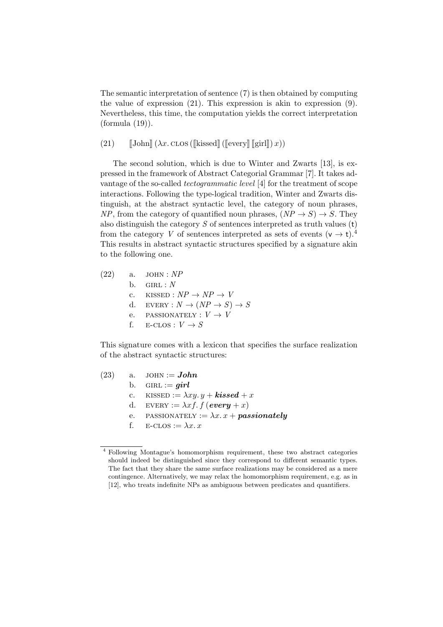The semantic interpretation of sentence (7) is then obtained by computing the value of expression (21). This expression is akin to expression (9). Nevertheless, this time, the computation yields the correct interpretation (formula (19)).

(21)  $\left[\text{John}\right](\lambda x. \text{CLOS}(\text{[kissed]}\left(\text{[every]}\right[\text{[girl]}\left(x\right)))$ 

The second solution, which is due to Winter and Zwarts [13], is expressed in the framework of Abstract Categorial Grammar [7]. It takes advantage of the so-called tectogrammatic level [4] for the treatment of scope interactions. Following the type-logical tradition, Winter and Zwarts distinguish, at the abstract syntactic level, the category of noun phrases, NP, from the category of quantified noun phrases,  $(NP \rightarrow S) \rightarrow S$ . They also distinguish the category  $S$  of sentences interpreted as truth values  $(t)$ from the category V of sentences interpreted as sets of events  $(v \rightarrow t)$ .<sup>4</sup> This results in abstract syntactic structures specified by a signature akin to the following one.

 $(22)$  a. JOHN : NP  $b.$  GIRL :  $N$ c. KISSED :  $NP \rightarrow NP \rightarrow V$ d. EVERY :  $N \rightarrow (NP \rightarrow S) \rightarrow S$ e. PASSIONATELY :  $V \rightarrow V$ f. E-CLOS :  $V \rightarrow S$ 

This signature comes with a lexicon that specifies the surface realization of the abstract syntactic structures:

(23) a. JOHN :=  $John$ b. GIRL :=  $girl$ c. KISSED :=  $\lambda xy. y + kissed + x$ d. EVERY :=  $\lambda x f$ .  $f$  (every + x) e. PASSIONATELY :=  $\lambda x \cdot x + \textit{passionately}$ f.  $E\text{-}\text{CLOS} := \lambda x \cdot x$ 

<sup>4</sup> Following Montague's homomorphism requirement, these two abstract categories should indeed be distinguished since they correspond to different semantic types. The fact that they share the same surface realizations may be considered as a mere contingence. Alternatively, we may relax the homomorphism requirement, e.g. as in [12], who treats indefinite NPs as ambiguous between predicates and quantifiers.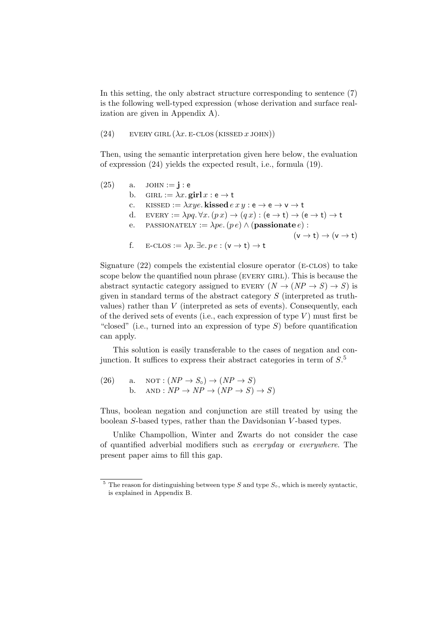In this setting, the only abstract structure corresponding to sentence (7) is the following well-typed expression (whose derivation and surface realization are given in Appendix A).

(24) EVERY GIRL  $(\lambda x. \text{E-CLOS}$  (KISSED x JOHN))

Then, using the semantic interpretation given here below, the evaluation of expression (24) yields the expected result, i.e., formula (19).

(25) a. JOHN := **j** : **e**  
\nb. GIRL := 
$$
\lambda x
$$
. girl  $x : e \rightarrow t$   
\nc. KISSED :=  $\lambda xye$ . kissed  $exy : e \rightarrow e \rightarrow v \rightarrow t$   
\nd. EVERY :=  $\lambda pq \cdot \forall x . (px) \rightarrow (qx) : (e \rightarrow t) \rightarrow (e \rightarrow t) \rightarrow t$   
\ne. PASSIONATELY :=  $\lambda pe. (pe) \land$  (passionale *e*) :  
\n $(v \rightarrow t) \rightarrow (v \rightarrow t)$   
\nf. E-CLOS :=  $\lambda p$ .  $\exists e. pe : (v \rightarrow t) \rightarrow t$ 

Signature  $(22)$  compels the existential closure operator  $(E\text{-}\text{CLOS})$  to take scope below the quantified noun phrase (EVERY GIRL). This is because the abstract syntactic category assigned to EVERY  $(N \to (NP \to S) \to S)$  is given in standard terms of the abstract category  $S$  (interpreted as truthvalues) rather than  $V$  (interpreted as sets of events). Consequently, each of the derived sets of events (i.e., each expression of type  $V$ ) must first be "closed" (i.e., turned into an expression of type  $S$ ) before quantification can apply.

This solution is easily transferable to the cases of negation and conjunction. It suffices to express their abstract categories in term of  $S$ <sup>5</sup>

(26) a. NOT: 
$$
(NP \rightarrow S_o) \rightarrow (NP \rightarrow S)
$$
  
b. AND:  $NP \rightarrow NP \rightarrow (NP \rightarrow S) \rightarrow S)$ 

Thus, boolean negation and conjunction are still treated by using the boolean S-based types, rather than the Davidsonian V -based types.

Unlike Champollion, Winter and Zwarts do not consider the case of quantified adverbial modifiers such as everyday or everywhere. The present paper aims to fill this gap.

<sup>&</sup>lt;sup>5</sup> The reason for distinguishing between type S and type  $S_{\circ}$ , which is merely syntactic, is explained in Appendix B.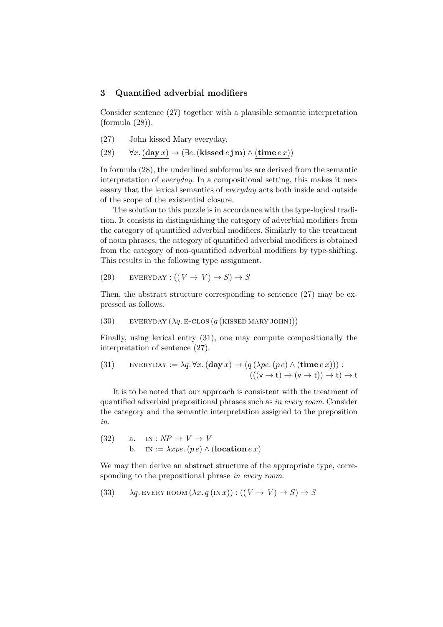### 3 Quantified adverbial modifiers

Consider sentence (27) together with a plausible semantic interpretation (formula (28)).

- (27) John kissed Mary everyday.
- (28)  $\forall x. (\mathbf{day}\, x) \rightarrow (\exists e. (\mathbf{kissed}\, e\, \mathbf{j}\, \mathbf{m}) \wedge (\mathbf{time}\, e\, x))$

In formula (28), the underlined subformulas are derived from the semantic interpretation of everyday. In a compositional setting, this makes it necessary that the lexical semantics of everyday acts both inside and outside of the scope of the existential closure.

The solution to this puzzle is in accordance with the type-logical tradition. It consists in distinguishing the category of adverbial modifiers from the category of quantified adverbial modifiers. Similarly to the treatment of noun phrases, the category of quantified adverbial modifiers is obtained from the category of non-quantified adverbial modifiers by type-shifting. This results in the following type assignment.

(29) 
$$
\text{EVERYDAY}: ((V \to V) \to S) \to S
$$

Then, the abstract structure corresponding to sentence (27) may be expressed as follows.

(30) 
$$
EVERYDAY (\lambda q.E-CLOS (q (KISSED MARY JOHN)))
$$

Finally, using lexical entry (31), one may compute compositionally the interpretation of sentence (27).

(31) 
$$
\text{EVERYDAY} := \lambda q. \forall x. (\text{day } x) \rightarrow (q (\lambda pe. (pe) \land (\text{time } e x))) :
$$

$$
(((v \rightarrow t) \rightarrow (v \rightarrow t)) \rightarrow t) \rightarrow t
$$

It is to be noted that our approach is consistent with the treatment of quantified adverbial prepositional phrases such as in every room. Consider the category and the semantic interpretation assigned to the preposition in.

(32) a. IN: 
$$
NP \rightarrow V \rightarrow V
$$
  
b. IN :=  $\lambda xpe. (pe) \land$  (location *e x*)

We may then derive an abstract structure of the appropriate type, corresponding to the prepositional phrase in every room.

(33) 
$$
\lambda q
$$
. **Every**  $\lambda x. q(\text{IN } x): ((V \to V) \to S) \to S$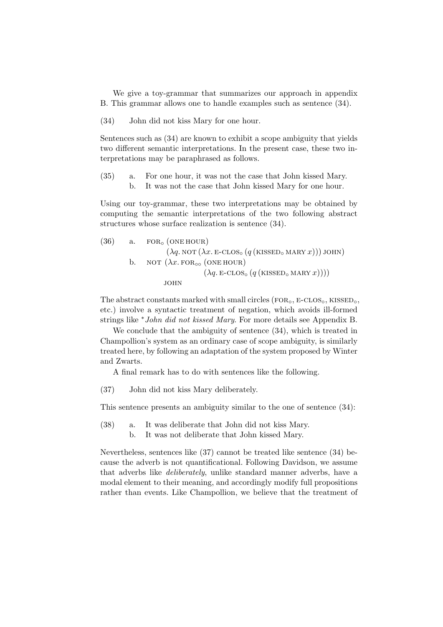We give a toy-grammar that summarizes our approach in appendix B. This grammar allows one to handle examples such as sentence (34).

(34) John did not kiss Mary for one hour.

Sentences such as (34) are known to exhibit a scope ambiguity that yields two different semantic interpretations. In the present case, these two interpretations may be paraphrased as follows.

(35) a. For one hour, it was not the case that John kissed Mary. b. It was not the case that John kissed Mary for one hour.

Using our toy-grammar, these two interpretations may be obtained by computing the semantic interpretations of the two following abstract structures whose surface realization is sentence (34).

(36) a. FOR<sub>o</sub> (ONE HOUR)  
\n(
$$
\lambda q. NOT (\lambda x. E- CLOSo (q (KISSEDo MARK x)))
$$
JOHN)  
\nb. NOT ( $\lambda x. FORoo$  (ONE HOUR)  
\n( $\lambda q. E- CLOSo (q (KISSEDo MARK x))))$ )  
\nJOHN

The abstract constants marked with small circles ( $FOR<sub>o</sub>$ , E-CLOS<sub> $o$ </sub>, KISSED<sub> $o$ </sub>, etc.) involve a syntactic treatment of negation, which avoids ill-formed strings like <sup>∗</sup>John did not kissed Mary. For more details see Appendix B.

We conclude that the ambiguity of sentence  $(34)$ , which is treated in Champollion's system as an ordinary case of scope ambiguity, is similarly treated here, by following an adaptation of the system proposed by Winter and Zwarts.

A final remark has to do with sentences like the following.

(37) John did not kiss Mary deliberately.

This sentence presents an ambiguity similar to the one of sentence (34):

- (38) a. It was deliberate that John did not kiss Mary.
	- b. It was not deliberate that John kissed Mary.

Nevertheless, sentences like (37) cannot be treated like sentence (34) because the adverb is not quantificational. Following Davidson, we assume that adverbs like deliberately, unlike standard manner adverbs, have a modal element to their meaning, and accordingly modify full propositions rather than events. Like Champollion, we believe that the treatment of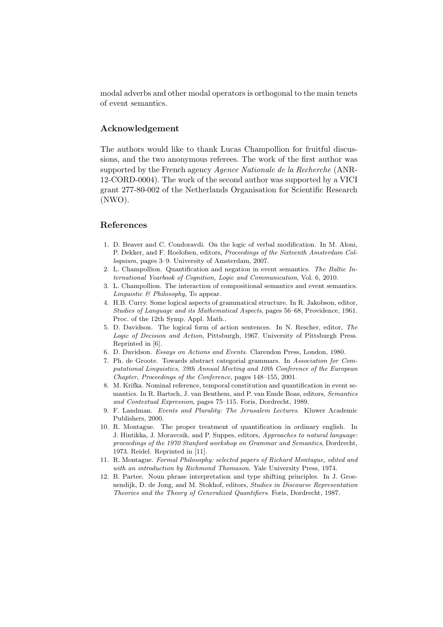modal adverbs and other modal operators is orthogonal to the main tenets of event semantics.

### Acknowledgement

The authors would like to thank Lucas Champollion for fruitful discussions, and the two anonymous referees. The work of the first author was supported by the French agency Agence Nationale de la Recherche (ANR-12-CORD-0004). The work of the second author was supported by a VICI grant 277-80-002 of the Netherlands Organisation for Scientific Research (NWO).

#### References

- 1. D. Beaver and C. Condoravdi. On the logic of verbal modification. In M. Aloni, P. Dekker, and F. Roelofsen, editors, Proceedings of the Sixteenth Amsterdam Colloquium, pages 3–9. University of Amsterdam, 2007.
- 2. L. Champollion. Quantification and negation in event semantics. The Baltic International Yearbook of Cognition, Logic and Communication, Vol. 6, 2010.
- 3. L. Champollion. The interaction of compositional semantics and event semantics. Linguistic  $\&$  Philosophy, To appear.
- 4. H.B. Curry. Some logical aspects of grammatical structure. In R. Jakobson, editor, Studies of Language and its Mathematical Aspects, pages 56–68, Providence, 1961. Proc. of the 12th Symp. Appl. Math..
- 5. D. Davidson. The logical form of action sentences. In N. Rescher, editor, The Logic of Decision and Action, Pittsburgh, 1967. University of Pittsburgh Press. Reprinted in [6].
- 6. D. Davidson. Essays on Actions and Events. Clarendon Press, London, 1980.
- 7. Ph. de Groote. Towards abstract categorial grammars. In Association for Computational Linguistics, 39th Annual Meeting and 10th Conference of the European Chapter, Proceedings of the Conference, pages 148–155, 2001.
- 8. M. Krifka. Nominal reference, temporal constitution and quantification in event semantics. In R. Bartsch, J. van Benthem, and P. van Emde Boas, editors, Semantics and Contextual Expression, pages 75–115. Foris, Dordrecht, 1989.
- 9. F. Landman. Events and Plurality: The Jerusalem Lectures. Kluwer Academic Publishers, 2000.
- 10. R. Montague. The proper treatment of quantification in ordinary english. In J. Hintikka, J. Moravcsik, and P. Suppes, editors, Approaches to natural language: proceedings of the 1970 Stanford workshop on Grammar and Semantics, Dordrecht, 1973. Reidel. Reprinted in [11].
- 11. R. Montague. Formal Philosophy: selected papers of Richard Montague, edited and with an introduction by Richmond Thomason. Yale University Press, 1974.
- 12. B. Partee. Noun phrase interpretation and type shifting principles. In J. Groenendijk, D. de Jong, and M. Stokhof, editors, Studies in Discourse Representation Theories and the Theory of Generalized Quantifiers. Foris, Dordrecht, 1987.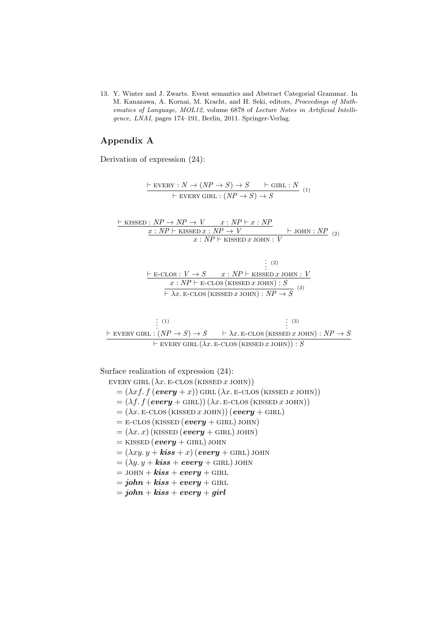13. Y. Winter and J. Zwarts. Event semantics and Abstract Categorial Grammar. In M. Kanazawa, A. Kornai, M. Kracht, and H. Seki, editors, Proceedings of Mathematics of Language, MOL12, volume 6878 of Lecture Notes in Artificial Intelligence, LNAI, pages 174–191, Berlin, 2011. Springer-Verlag.

## Appendix A

Derivation of expression (24):

 $\vdash$  EVERY :  $N \to (NP \to S) \to S$   $\vdash$  GIRL : N  $\overline{F \text{ EVERY GIRL}: (NP \rightarrow S) \rightarrow S}$  (1)

 $\vdash$  KISSED :  $NP \rightarrow NP \rightarrow V$   $x : NP \vdash x : NP$  $x : NP \vdash$  KISSED  $x : NP \rightarrow V$   $\vdash$  JOHN : NP  $\frac{x \cdot N I \rightarrow V}{x \cdot NP \vdash$  KISSED x JOHN :  $V$  (2)

$$
\frac{\vdash E\text{-CLOS}: V \to S \qquad x: NP \vdash \text{KISSED } x \text{ JOHN}: V}{x: NP \vdash E\text{-CLOS (KISSED } x \text{ JOHN}): S} \qquad \frac{x: NP \vdash E\text{-CLOS (KISSED } x \text{ JOHN}): S}{\vdash \lambda x. E\text{-CLOS (KISSED } x \text{ JOHN}): NP \to S} \qquad ^{(3)}
$$

: (1)  $\frac{1}{2}$  $\vdash$  EVERY GIRL :  $(NP \rightarrow S) \rightarrow S$  $\vdots$  (3)  $\vdash \lambda x.$  E-CLOS (KISSED x JOHN) :  $NP \rightarrow S$  $\vdash$  every girl  $(\lambda x.$  e-clos (kissed x john)) : S

Surface realization of expression (24):

EVERY GIRL  $(\lambda x.$  E-CLOS (KISSED x JOHN))  $= (\lambda x f. f (every + x))$  GIRL  $(\lambda x. E\text{-CLOS}$  (KISSED x JOHN))  $= (\lambda f. f (every + GIRL)) (\lambda x. E-CLOS (KISSED x JOHN))$  $=(\lambda x. \text{E-CLOS}(\text{KISSED }x \text{ JOHN}))(\text{every} + \text{GIRL})$  $=$  E-CLOS (KISSED (every + GIRL) JOHN)  $=(\lambda x. x)$  (KISSED (every + GIRL) JOHN)  $=$  kissed (every + girl) john  $=(\lambda xy. y + kiss + x)$  (every + GIRL) JOHN  $=(\lambda y. y + \textbf{kiss} + \textbf{every} + \textbf{GIRL})$  john  $=$  JOHN +  $kiss + every + \text{GIRL}$  $= john + kiss + every + \text{GIRL}$ 

 $= john + kiss + every + girl$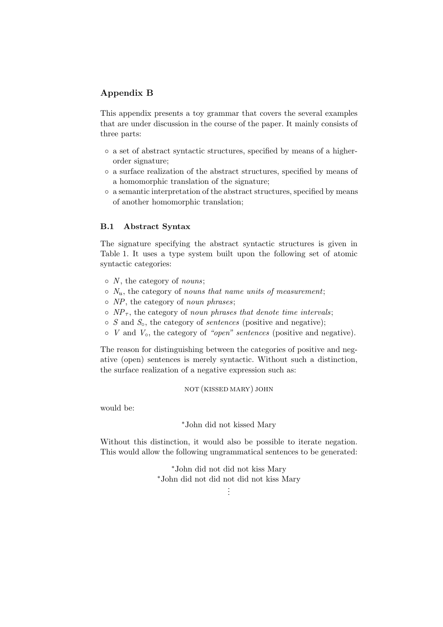# Appendix B

This appendix presents a toy grammar that covers the several examples that are under discussion in the course of the paper. It mainly consists of three parts:

- a set of abstract syntactic structures, specified by means of a higherorder signature;
- a surface realization of the abstract structures, specified by means of a homomorphic translation of the signature;
- a semantic interpretation of the abstract structures, specified by means of another homomorphic translation;

### B.1 Abstract Syntax

The signature specifying the abstract syntactic structures is given in Table 1. It uses a type system built upon the following set of atomic syntactic categories:

- $\circ$  N, the category of nouns;
- $\circ$   $N_u$ , the category of nouns that name units of measurement;
- NP, the category of noun phrases;
- $\circ$  NP<sub>T</sub>, the category of noun phrases that denote time intervals;
- $\circ$  S and  $S_{\circ}$ , the category of *sentences* (positive and negative);
- $\circ$  V and  $V_{\circ}$ , the category of "open" sentences (positive and negative).

The reason for distinguishing between the categories of positive and negative (open) sentences is merely syntactic. Without such a distinction, the surface realization of a negative expression such as:

not (kissed mary) john

would be:

<sup>∗</sup>John did not kissed Mary

Without this distinction, it would also be possible to iterate negation. This would allow the following ungrammatical sentences to be generated:

> <sup>∗</sup>John did not did not kiss Mary <sup>∗</sup>John did not did not did not kiss Mary

. . .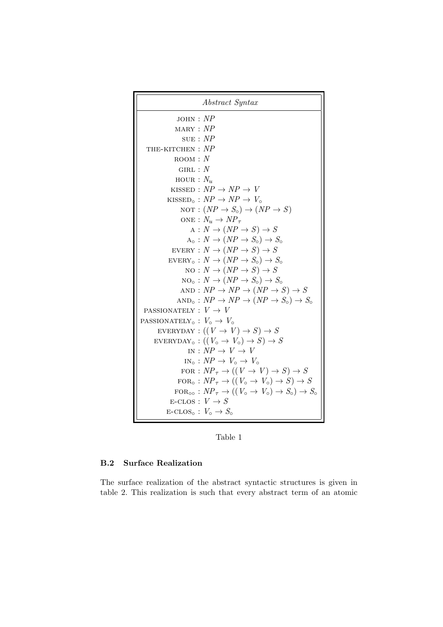

Table 1

### B.2 Surface Realization

The surface realization of the abstract syntactic structures is given in table 2. This realization is such that every abstract term of an atomic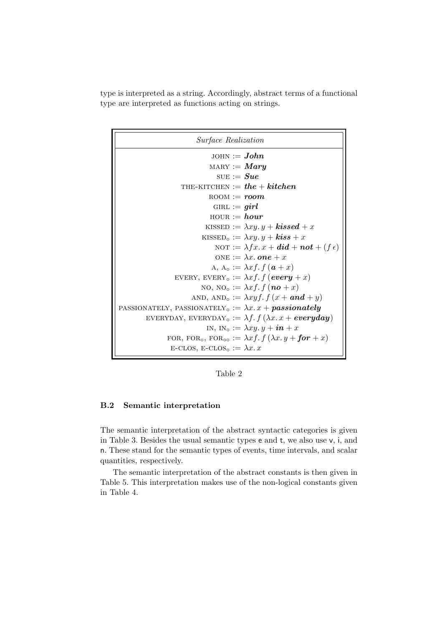type is interpreted as a string. Accordingly, abstract terms of a functional type are interpreted as functions acting on strings.

| <i>Surface Realization</i>                                                                      |
|-------------------------------------------------------------------------------------------------|
| $JOHN := John$                                                                                  |
| $\text{MARY} := \textit{Mary}$                                                                  |
| SUE $:=$ Sue                                                                                    |
| THE-KITCHEN := $the + kitchen$                                                                  |
| $_{\rm ROM} :=$ <i>room</i> .                                                                   |
| GIRL := $girl$                                                                                  |
| $H所 = hour$                                                                                     |
| KISSED := $\lambda xy. y + kissed + x$                                                          |
| KISSED <sub>0</sub> := $\lambda xy. y + kiss + x$                                               |
| NOT := $\lambda fx.x + did + not + (f \epsilon)$                                                |
| ONE := $\lambda x.$ one + x                                                                     |
| A, $A_0 := \lambda x f$ , $f(\boldsymbol{a} + x)$                                               |
| EVERY, EVERY <sub>o</sub> := $\lambda x f. f (every + x)$                                       |
| NO, NO <sub>o</sub> := $\lambda x f$ . $f$ (no + x)                                             |
| AND, AND <sub>o</sub> := $\lambda xyf$ . $f(x +$ <b>and</b> + y)                                |
| PASSIONATELY, PASSIONATELY <sub>o</sub> := $\lambda x \cdot x + \textit{passionately}$          |
| EVERYDAY, EVERYDAY <sub>o</sub> := $\lambda f$ . $f$ ( $\lambda x$ . $x$ + everyday)            |
| IN, IN <sub>o</sub> := $\lambda xy. y + in + x$                                                 |
| FOR, FOR <sub>o</sub> , FOR <sub>oo</sub> := $\lambda x f$ . $f(\lambda x. y +$ <b>for</b> + x) |
| E-CLOS, E-CLOS <sub>o</sub> := $\lambda x$ . x                                                  |

Table 2

### B.2 Semantic interpretation

The semantic interpretation of the abstract syntactic categories is given in Table 3. Besides the usual semantic types e and t, we also use v, i, and n. These stand for the semantic types of events, time intervals, and scalar quantities, respectively.

The semantic interpretation of the abstract constants is then given in Table 5. This interpretation makes use of the non-logical constants given in Table 4.